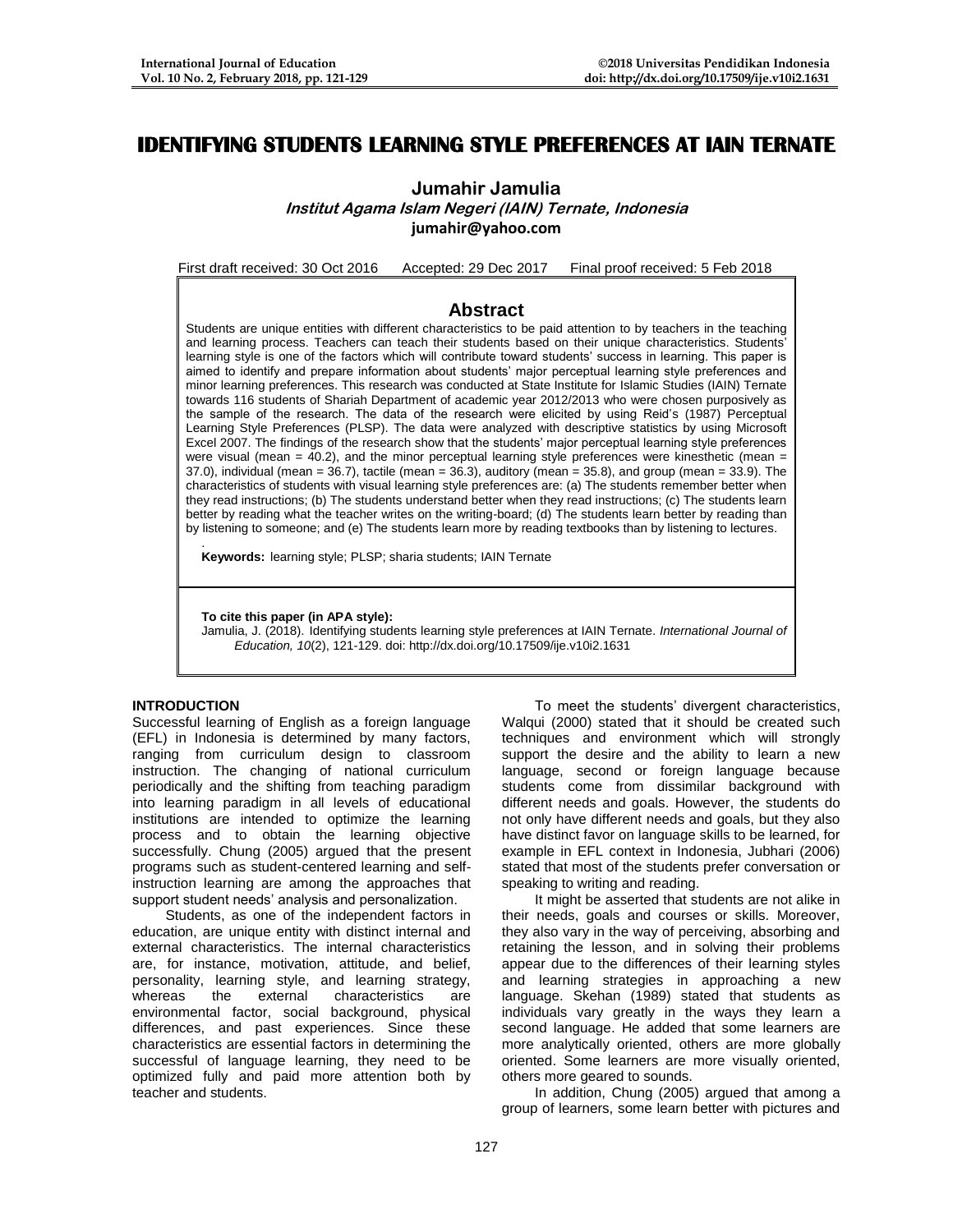# **IDENTIFYING STUDENTS LEARNING STYLE PREFERENCES AT IAIN TERNATE**

**Jumahir Jamulia**

**Institut Agama Islam Negeri (IAIN) Ternate, Indonesia [jumahir@yahoo.com](mailto:jumahir@yahoo.com)**

First draft received: 30 Oct 2016 Accepted: 29 Dec 2017 Final proof received: 5 Feb 2018

# **Abstract**

Students are unique entities with different characteristics to be paid attention to by teachers in the teaching and learning process. Teachers can teach their students based on their unique characteristics. Students' learning style is one of the factors which will contribute toward students' success in learning. This paper is aimed to identify and prepare information about students' major perceptual learning style preferences and minor learning preferences. This research was conducted at State Institute for Islamic Studies (IAIN) Ternate towards 116 students of Shariah Department of academic year 2012/2013 who were chosen purposively as the sample of the research. The data of the research were elicited by using Reid's (1987) Perceptual Learning Style Preferences (PLSP). The data were analyzed with descriptive statistics by using Microsoft Excel 2007. The findings of the research show that the students' major perceptual learning style preferences were visual (mean =  $40.2$ ), and the minor perceptual learning style preferences were kinesthetic (mean = 37.0), individual (mean = 36.7), tactile (mean = 36.3), auditory (mean = 35.8), and group (mean = 33.9). The characteristics of students with visual learning style preferences are: (a) The students remember better when they read instructions; (b) The students understand better when they read instructions; (c) The students learn better by reading what the teacher writes on the writing-board; (d) The students learn better by reading than by listening to someone; and (e) The students learn more by reading textbooks than by listening to lectures.

. **Keywords:** learning style; PLSP; sharia students; IAIN Ternate

#### **To cite this paper (in APA style):**

Jamulia, J. (2018). Identifying students learning style preferences at IAIN Ternate. *International Journal of Education, 10*(2), 121-129. doi: http://dx.doi.org/10.17509/ije.v10i2.1631

### **INTRODUCTION**

Successful learning of English as a foreign language (EFL) in Indonesia is determined by many factors, ranging from curriculum design to classroom instruction. The changing of national curriculum periodically and the shifting from teaching paradigm into learning paradigm in all levels of educational institutions are intended to optimize the learning process and to obtain the learning objective successfully. Chung (2005) argued that the present programs such as student-centered learning and selfinstruction learning are among the approaches that support student needs' analysis and personalization.

Students, as one of the independent factors in education, are unique entity with distinct internal and external characteristics. The internal characteristics are, for instance, motivation, attitude, and belief, personality, learning style, and learning strategy, whereas the external characteristics are environmental factor, social background, physical differences, and past experiences. Since these characteristics are essential factors in determining the successful of language learning, they need to be optimized fully and paid more attention both by teacher and students.

To meet the students' divergent characteristics, Walqui (2000) stated that it should be created such techniques and environment which will strongly support the desire and the ability to learn a new language, second or foreign language because students come from dissimilar background with different needs and goals. However, the students do not only have different needs and goals, but they also have distinct favor on language skills to be learned, for example in EFL context in Indonesia, Jubhari (2006) stated that most of the students prefer conversation or speaking to writing and reading.

It might be asserted that students are not alike in their needs, goals and courses or skills. Moreover, they also vary in the way of perceiving, absorbing and retaining the lesson, and in solving their problems appear due to the differences of their learning styles and learning strategies in approaching a new language. Skehan (1989) stated that students as individuals vary greatly in the ways they learn a second language. He added that some learners are more analytically oriented, others are more globally oriented. Some learners are more visually oriented, others more geared to sounds.

In addition, Chung (2005) argued that among a group of learners, some learn better with pictures and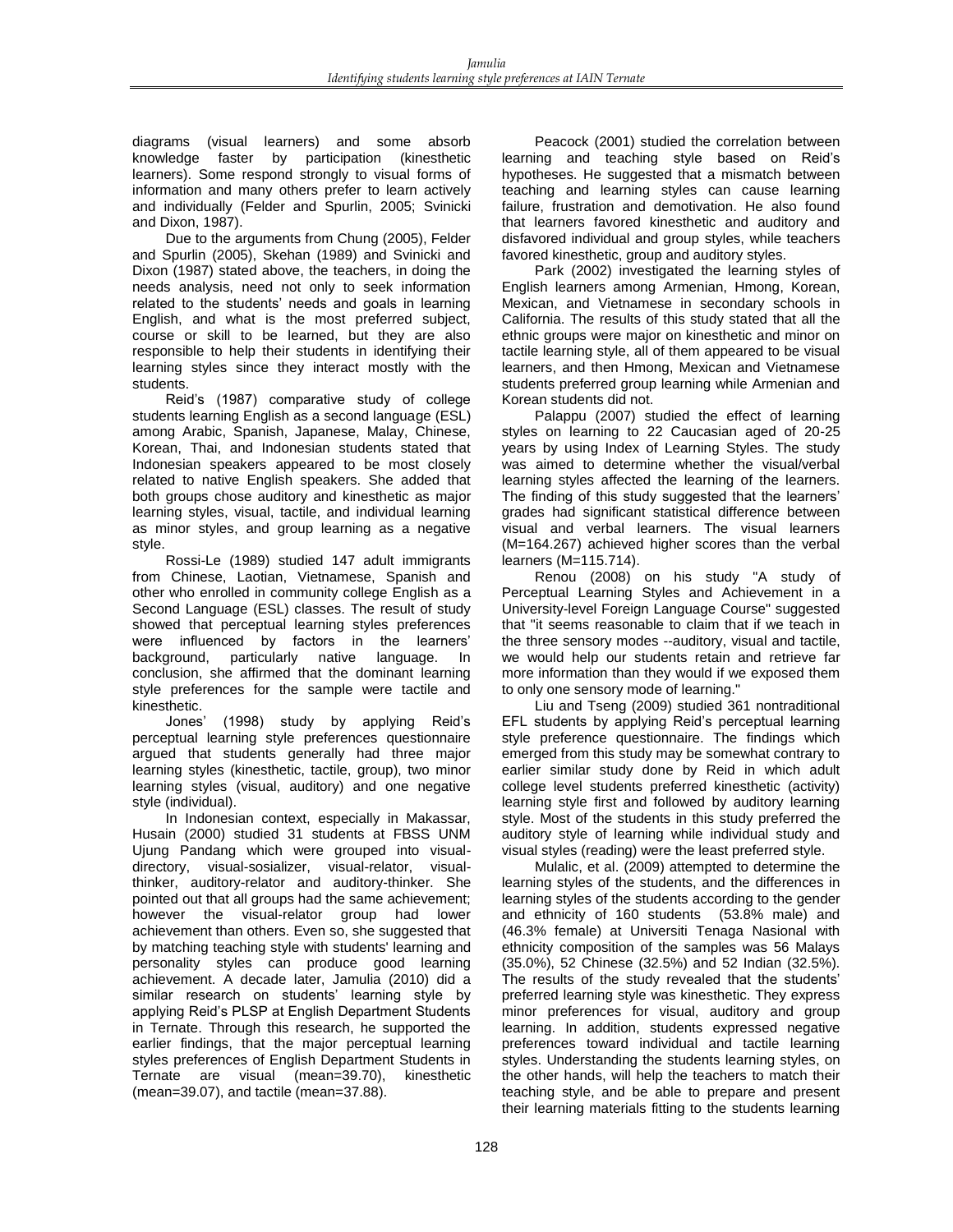diagrams (visual learners) and some absorb knowledge faster by participation (kinesthetic learners). Some respond strongly to visual forms of information and many others prefer to learn actively and individually (Felder and Spurlin, 2005; Svinicki and Dixon, 1987).

Due to the arguments from Chung (2005), Felder and Spurlin (2005), Skehan (1989) and Svinicki and Dixon (1987) stated above, the teachers, in doing the needs analysis, need not only to seek information related to the students' needs and goals in learning English, and what is the most preferred subject, course or skill to be learned, but they are also responsible to help their students in identifying their learning styles since they interact mostly with the students.

Reid's (1987) comparative study of college students learning English as a second language (ESL) among Arabic, Spanish, Japanese, Malay, Chinese, Korean, Thai, and Indonesian students stated that Indonesian speakers appeared to be most closely related to native English speakers. She added that both groups chose auditory and kinesthetic as major learning styles, visual, tactile, and individual learning as minor styles, and group learning as a negative style.

Rossi-Le (1989) studied 147 adult immigrants from Chinese, Laotian, Vietnamese, Spanish and other who enrolled in community college English as a Second Language (ESL) classes. The result of study showed that perceptual learning styles preferences were influenced by factors in the learners' background, particularly native language. In conclusion, she affirmed that the dominant learning style preferences for the sample were tactile and kinesthetic.

Jones' (1998) study by applying Reid's perceptual learning style preferences questionnaire argued that students generally had three major learning styles (kinesthetic, tactile, group), two minor learning styles (visual, auditory) and one negative style (individual).

In Indonesian context, especially in Makassar, Husain (2000) studied 31 students at FBSS UNM Ujung Pandang which were grouped into visualdirectory, visual-sosializer, visual-relator, visualthinker, auditory-relator and auditory-thinker. She pointed out that all groups had the same achievement; however the visual-relator group had lower achievement than others. Even so, she suggested that by matching teaching style with students' learning and personality styles can produce good learning achievement. A decade later, Jamulia (2010) did a similar research on students' learning style by applying Reid's PLSP at English Department Students in Ternate. Through this research, he supported the earlier findings, that the major perceptual learning styles preferences of English Department Students in Ternate are visual (mean=39.70), kinesthetic (mean=39.07), and tactile (mean=37.88).

Peacock (2001) studied the correlation between learning and teaching style based on Reid's hypotheses. He suggested that a mismatch between teaching and learning styles can cause learning failure, frustration and demotivation. He also found that learners favored kinesthetic and auditory and disfavored individual and group styles, while teachers favored kinesthetic, group and auditory styles.

Park (2002) investigated the learning styles of English learners among Armenian, Hmong, Korean, Mexican, and Vietnamese in secondary schools in California. The results of this study stated that all the ethnic groups were major on kinesthetic and minor on tactile learning style, all of them appeared to be visual learners, and then Hmong, Mexican and Vietnamese students preferred group learning while Armenian and Korean students did not.

Palappu (2007) studied the effect of learning styles on learning to 22 Caucasian aged of 20-25 years by using Index of Learning Styles. The study was aimed to determine whether the visual/verbal learning styles affected the learning of the learners. The finding of this study suggested that the learners' grades had significant statistical difference between visual and verbal learners. The visual learners (M=164.267) achieved higher scores than the verbal learners (M=115.714).

Renou (2008) on his study "A study of Perceptual Learning Styles and Achievement in a University-level Foreign Language Course" suggested that "it seems reasonable to claim that if we teach in the three sensory modes --auditory, visual and tactile, we would help our students retain and retrieve far more information than they would if we exposed them to only one sensory mode of learning."

Liu and Tseng (2009) studied 361 nontraditional EFL students by applying Reid's perceptual learning style preference questionnaire. The findings which emerged from this study may be somewhat contrary to earlier similar study done by Reid in which adult college level students preferred kinesthetic (activity) learning style first and followed by auditory learning style. Most of the students in this study preferred the auditory style of learning while individual study and visual styles (reading) were the least preferred style.

Mulalic, et al. (2009) attempted to determine the learning styles of the students, and the differences in learning styles of the students according to the gender and ethnicity of 160 students (53.8% male) and (46.3% female) at Universiti Tenaga Nasional with ethnicity composition of the samples was 56 Malays (35.0%), 52 Chinese (32.5%) and 52 Indian (32.5%). The results of the study revealed that the students' preferred learning style was kinesthetic. They express minor preferences for visual, auditory and group learning. In addition, students expressed negative preferences toward individual and tactile learning styles. Understanding the students learning styles, on the other hands, will help the teachers to match their teaching style, and be able to prepare and present their learning materials fitting to the students learning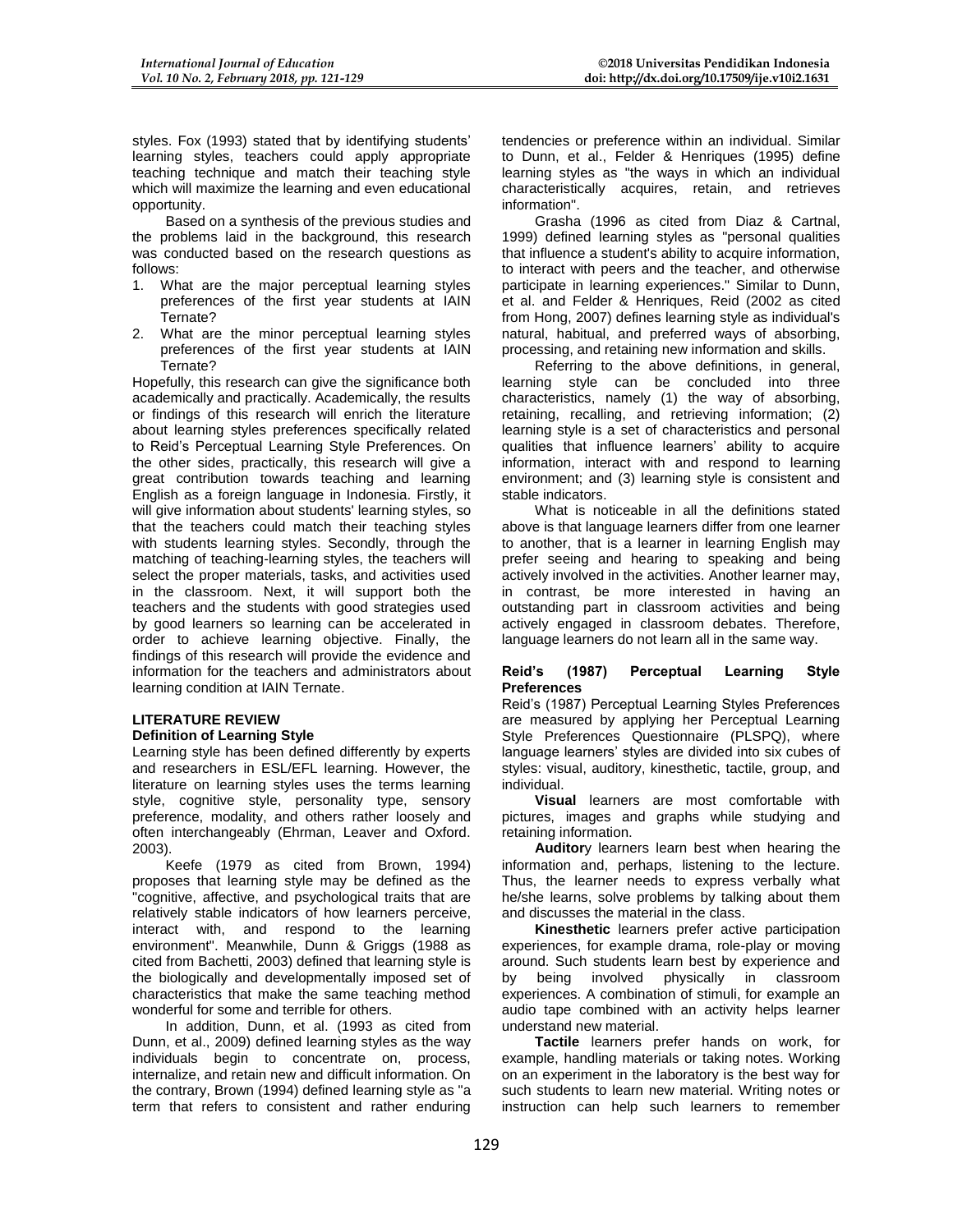styles. Fox (1993) stated that by identifying students' learning styles, teachers could apply appropriate teaching technique and match their teaching style which will maximize the learning and even educational opportunity.

Based on a synthesis of the previous studies and the problems laid in the background, this research was conducted based on the research questions as follows:

- 1. What are the major perceptual learning styles preferences of the first year students at IAIN Ternate?
- 2. What are the minor perceptual learning styles preferences of the first year students at IAIN Ternate?

Hopefully, this research can give the significance both academically and practically. Academically, the results or findings of this research will enrich the literature about learning styles preferences specifically related to Reid's Perceptual Learning Style Preferences. On the other sides, practically, this research will give a great contribution towards teaching and learning English as a foreign language in Indonesia. Firstly, it will give information about students' learning styles, so that the teachers could match their teaching styles with students learning styles. Secondly, through the matching of teaching-learning styles, the teachers will select the proper materials, tasks, and activities used in the classroom. Next, it will support both the teachers and the students with good strategies used by good learners so learning can be accelerated in order to achieve learning objective. Finally, the findings of this research will provide the evidence and information for the teachers and administrators about learning condition at IAIN Ternate.

### **LITERATURE REVIEW Definition of Learning Style**

Learning style has been defined differently by experts and researchers in ESL/EFL learning. However, the literature on learning styles uses the terms learning style, cognitive style, personality type, sensory preference, modality, and others rather loosely and often interchangeably (Ehrman, Leaver and Oxford. 2003).

Keefe (1979 as cited from Brown, 1994) proposes that learning style may be defined as the "cognitive, affective, and psychological traits that are relatively stable indicators of how learners perceive, interact with, and respond to the learning environment". Meanwhile, Dunn & Griggs (1988 as cited from Bachetti, 2003) defined that learning style is the biologically and developmentally imposed set of characteristics that make the same teaching method wonderful for some and terrible for others.

In addition, Dunn, et al. (1993 as cited from Dunn, et al., 2009) defined learning styles as the way individuals begin to concentrate on, process, internalize, and retain new and difficult information. On the contrary, Brown (1994) defined learning style as "a term that refers to consistent and rather enduring tendencies or preference within an individual. Similar to Dunn, et al., Felder & Henriques (1995) define learning styles as "the ways in which an individual characteristically acquires, retain, and retrieves information".

Grasha (1996 as cited from Diaz & Cartnal, 1999) defined learning styles as "personal qualities that influence a student's ability to acquire information, to interact with peers and the teacher, and otherwise participate in learning experiences." Similar to Dunn, et al. and Felder & Henriques, Reid (2002 as cited from Hong, 2007) defines learning style as individual's natural, habitual, and preferred ways of absorbing, processing, and retaining new information and skills.

Referring to the above definitions, in general, learning style can be concluded into three characteristics, namely (1) the way of absorbing, retaining, recalling, and retrieving information; (2) learning style is a set of characteristics and personal qualities that influence learners' ability to acquire information, interact with and respond to learning environment; and (3) learning style is consistent and stable indicators.

What is noticeable in all the definitions stated above is that language learners differ from one learner to another, that is a learner in learning English may prefer seeing and hearing to speaking and being actively involved in the activities. Another learner may, in contrast, be more interested in having an outstanding part in classroom activities and being actively engaged in classroom debates. Therefore, language learners do not learn all in the same way.

## **Reid's (1987) Perceptual Learning Style Preferences**

Reid's (1987) Perceptual Learning Styles Preferences are measured by applying her Perceptual Learning Style Preferences Questionnaire (PLSPQ), where language learners' styles are divided into six cubes of styles: visual, auditory, kinesthetic, tactile, group, and individual.

**Visual** learners are most comfortable with pictures, images and graphs while studying and retaining information.

**Auditor**y learners learn best when hearing the information and, perhaps, listening to the lecture. Thus, the learner needs to express verbally what he/she learns, solve problems by talking about them and discusses the material in the class.

**Kinesthetic** learners prefer active participation experiences, for example drama, role-play or moving around. Such students learn best by experience and<br>by being involved physically in classroom by being involved physically in classroom experiences. A combination of stimuli, for example an audio tape combined with an activity helps learner understand new material.

**Tactile** learners prefer hands on work, for example, handling materials or taking notes. Working on an experiment in the laboratory is the best way for such students to learn new material. Writing notes or instruction can help such learners to remember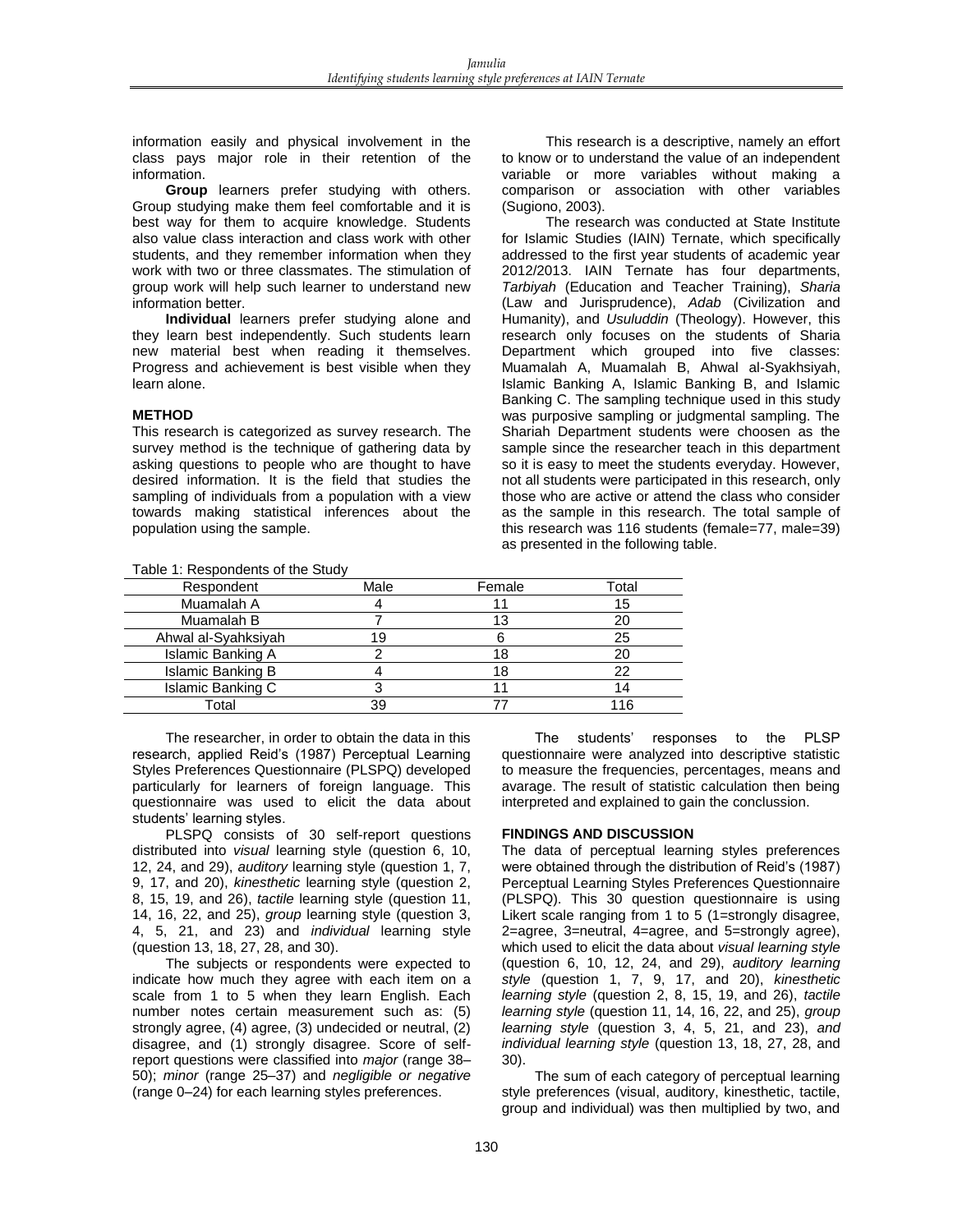information easily and physical involvement in the class pays major role in their retention of the information.

**Group** learners prefer studying with others. Group studying make them feel comfortable and it is best way for them to acquire knowledge. Students also value class interaction and class work with other students, and they remember information when they work with two or three classmates. The stimulation of group work will help such learner to understand new information better.

**Individual** learners prefer studying alone and they learn best independently. Such students learn new material best when reading it themselves. Progress and achievement is best visible when they learn alone.

#### **METHOD**

This research is categorized as survey research. The survey method is the technique of gathering data by asking questions to people who are thought to have desired information. It is the field that studies the sampling of individuals from a population with a view towards making statistical inferences about the population using the sample.

This research is a descriptive, namely an effort to know or to understand the value of an independent variable or more variables without making a comparison or association with other variables (Sugiono, 2003).

The research was conducted at State Institute for Islamic Studies (IAIN) Ternate, which specifically addressed to the first year students of academic year 2012/2013. IAIN Ternate has four departments, *Tarbiyah* (Education and Teacher Training), *Sharia* (Law and Jurisprudence), *Adab* (Civilization and Humanity), and *Usuluddin* (Theology). However, this research only focuses on the students of Sharia Department which grouped into five classes: Muamalah A, Muamalah B, Ahwal al-Syakhsiyah, Islamic Banking A, Islamic Banking B, and Islamic Banking C. The sampling technique used in this study was purposive sampling or judgmental sampling. The Shariah Department students were choosen as the sample since the researcher teach in this department so it is easy to meet the students everyday. However, not all students were participated in this research, only those who are active or attend the class who consider as the sample in this research. The total sample of this research was 116 students (female=77, male=39) as presented in the following table.

| rable 1. Respondents of the otday |      |        |       |
|-----------------------------------|------|--------|-------|
| Respondent                        | Male | Female | Total |
| Muamalah A                        |      |        | 15    |
| Muamalah B                        |      |        |       |
| Ahwal al-Syahksiyah               | 19   |        | 25    |
| Islamic Banking A                 |      | 18     | 20    |
| Islamic Banking B                 |      | 18     | 22    |
| Islamic Banking C                 |      |        | 14    |
| Total                             | 39   |        | 116   |

Table 1: Respondents of the Study

The researcher, in order to obtain the data in this research, applied Reid's (1987) Perceptual Learning Styles Preferences Questionnaire (PLSPQ) developed particularly for learners of foreign language. This questionnaire was used to elicit the data about students' learning styles.

PLSPQ consists of 30 self-report questions distributed into *visual* learning style (question 6, 10, 12, 24, and 29), *auditory* learning style (question 1, 7, 9, 17, and 20), *kinesthetic* learning style (question 2, 8, 15, 19, and 26), *tactile* learning style (question 11, 14, 16, 22, and 25), *group* learning style (question 3, 4, 5, 21, and 23) and *individual* learning style (question 13, 18, 27, 28, and 30).

The subjects or respondents were expected to indicate how much they agree with each item on a scale from 1 to 5 when they learn English. Each number notes certain measurement such as: (5) strongly agree, (4) agree, (3) undecided or neutral, (2) disagree, and (1) strongly disagree. Score of selfreport questions were classified into *major* (range 38– 50); *minor* (range 25–37) and *negligible or negative*  (range 0–24) for each learning styles preferences.

The students' responses to the PLSP questionnaire were analyzed into descriptive statistic to measure the frequencies, percentages, means and avarage. The result of statistic calculation then being interpreted and explained to gain the conclussion.

### **FINDINGS AND DISCUSSION**

The data of perceptual learning styles preferences were obtained through the distribution of Reid's (1987) Perceptual Learning Styles Preferences Questionnaire (PLSPQ). This 30 question questionnaire is using Likert scale ranging from 1 to 5 (1=strongly disagree, 2=agree, 3=neutral, 4=agree, and 5=strongly agree), which used to elicit the data about *visual learning style* (question 6, 10, 12, 24, and 29), *auditory learning style* (question 1, 7, 9, 17, and 20), *kinesthetic learning style* (question 2, 8, 15, 19, and 26), *tactile learning style* (question 11, 14, 16, 22, and 25), *group learning style* (question 3, 4, 5, 21, and 23), *and individual learning style* (question 13, 18, 27, 28, and 30).

The sum of each category of perceptual learning style preferences (visual, auditory, kinesthetic, tactile, group and individual) was then multiplied by two, and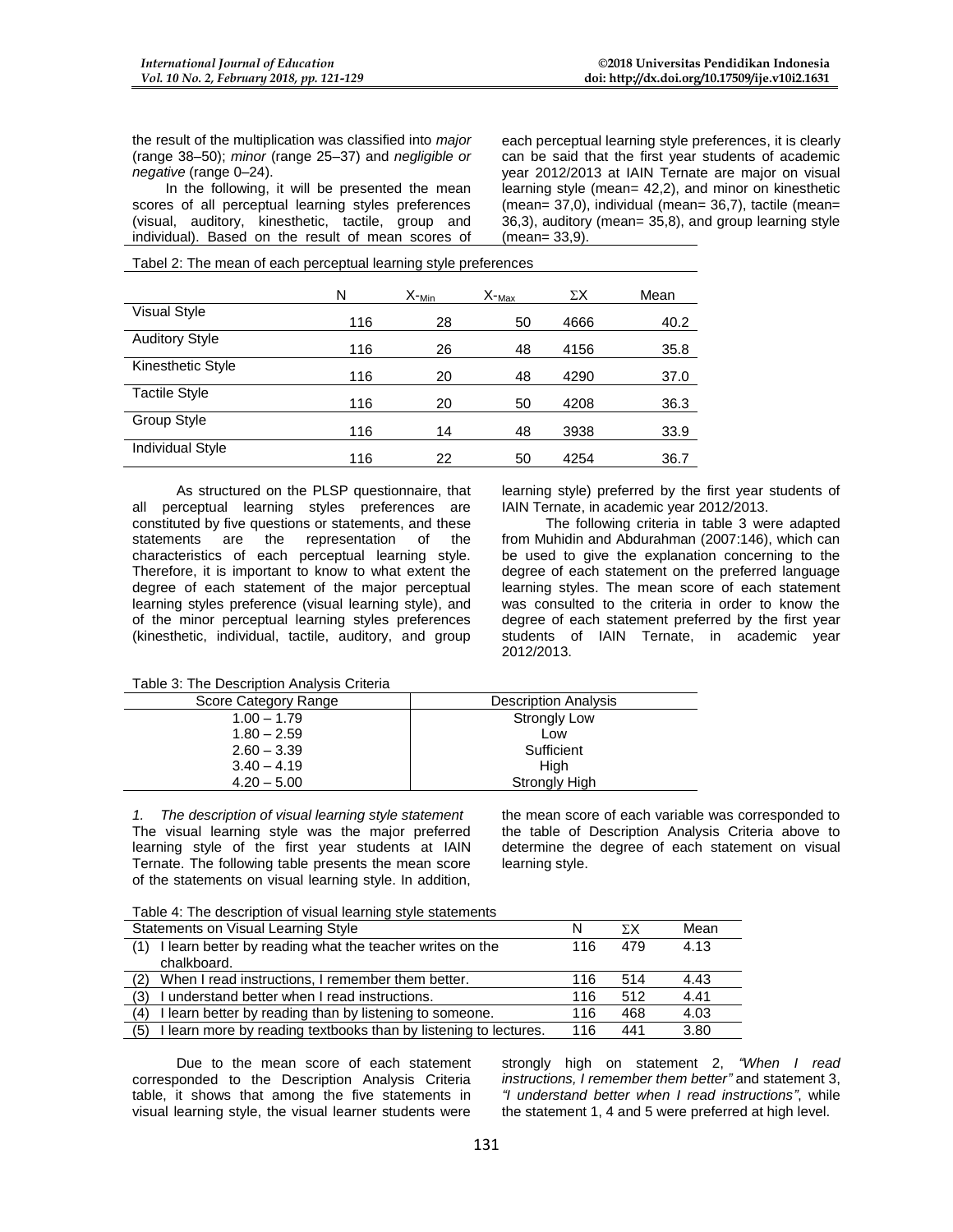the result of the multiplication was classified into *major* (range 38–50); *minor* (range 25–37) and *negligible or negative* (range 0–24).

In the following, it will be presented the mean scores of all perceptual learning styles preferences (visual, auditory, kinesthetic, tactile, group and individual). Based on the result of mean scores of each perceptual learning style preferences, it is clearly can be said that the first year students of academic year 2012/2013 at IAIN Ternate are major on visual learning style (mean= 42,2), and minor on kinesthetic (mean= 37,0), individual (mean= 36,7), tactile (mean= 36,3), auditory (mean= 35,8), and group learning style (mean= 33,9).

Tabel 2: The mean of each perceptual learning style preferences

|                         | N   | $X$ - <sub>Min</sub> | $X$ - $_{\text{Max}}$ | ΣΧ   | Mean |
|-------------------------|-----|----------------------|-----------------------|------|------|
| <b>Visual Style</b>     | 116 | 28                   | 50                    | 4666 | 40.2 |
| <b>Auditory Style</b>   | 116 | 26                   | 48                    | 4156 | 35.8 |
| Kinesthetic Style       | 116 | 20                   | 48                    | 4290 | 37.0 |
| <b>Tactile Style</b>    | 116 | 20                   | 50                    | 4208 | 36.3 |
| Group Style             | 116 | 14                   | 48                    | 3938 | 33.9 |
| <b>Individual Style</b> | 116 | 22                   | 50                    | 4254 | 36.7 |

As structured on the PLSP questionnaire, that all perceptual learning styles preferences are constituted by five questions or statements, and these statements are the representation of the characteristics of each perceptual learning style. Therefore, it is important to know to what extent the degree of each statement of the major perceptual learning styles preference (visual learning style), and of the minor perceptual learning styles preferences (kinesthetic, individual, tactile, auditory, and group

learning style) preferred by the first year students of IAIN Ternate, in academic year 2012/2013.

The following criteria in table 3 were adapted from Muhidin and Abdurahman (2007:146), which can be used to give the explanation concerning to the degree of each statement on the preferred language learning styles. The mean score of each statement was consulted to the criteria in order to know the degree of each statement preferred by the first year students of IAIN Ternate, in academic year 2012/2013.

Table 3: The Description Analysis Criteria

| Score Category Range | <b>Description Analysis</b> |
|----------------------|-----------------------------|
| $1.00 - 1.79$        | <b>Strongly Low</b>         |
| $1.80 - 2.59$        | Low                         |
| $2.60 - 3.39$        | Sufficient                  |
| $3.40 - 4.19$        | Hiah                        |
| $4.20 - 5.00$        | <b>Strongly High</b>        |

*1. The description of visual learning style statement* The visual learning style was the major preferred learning style of the first year students at IAIN Ternate. The following table presents the mean score of the statements on visual learning style. In addition,

the mean score of each variable was corresponded to the table of Description Analysis Criteria above to determine the degree of each statement on visual learning style.

Table 4: The description of visual learning style statements

| Statements on Visual Learning Style                                     | N   | ΣΧ  | Mean |
|-------------------------------------------------------------------------|-----|-----|------|
| I learn better by reading what the teacher writes on the                | 116 | 479 | 4.13 |
| chalkboard.                                                             |     |     |      |
| When I read instructions, I remember them better.<br>(2)                | 116 | 514 | 4.43 |
| I understand better when I read instructions.<br>(3)                    | 116 | 512 | 4.41 |
| I learn better by reading than by listening to someone.<br>(4)          | 116 | 468 | 4.03 |
| I learn more by reading textbooks than by listening to lectures.<br>(5) | 116 | 441 | 3.80 |

Due to the mean score of each statement corresponded to the Description Analysis Criteria table, it shows that among the five statements in visual learning style, the visual learner students were

strongly high on statement 2, *"When I read instructions, I remember them better"* and statement 3, *"I understand better when I read instructions"*, while the statement 1, 4 and 5 were preferred at high level.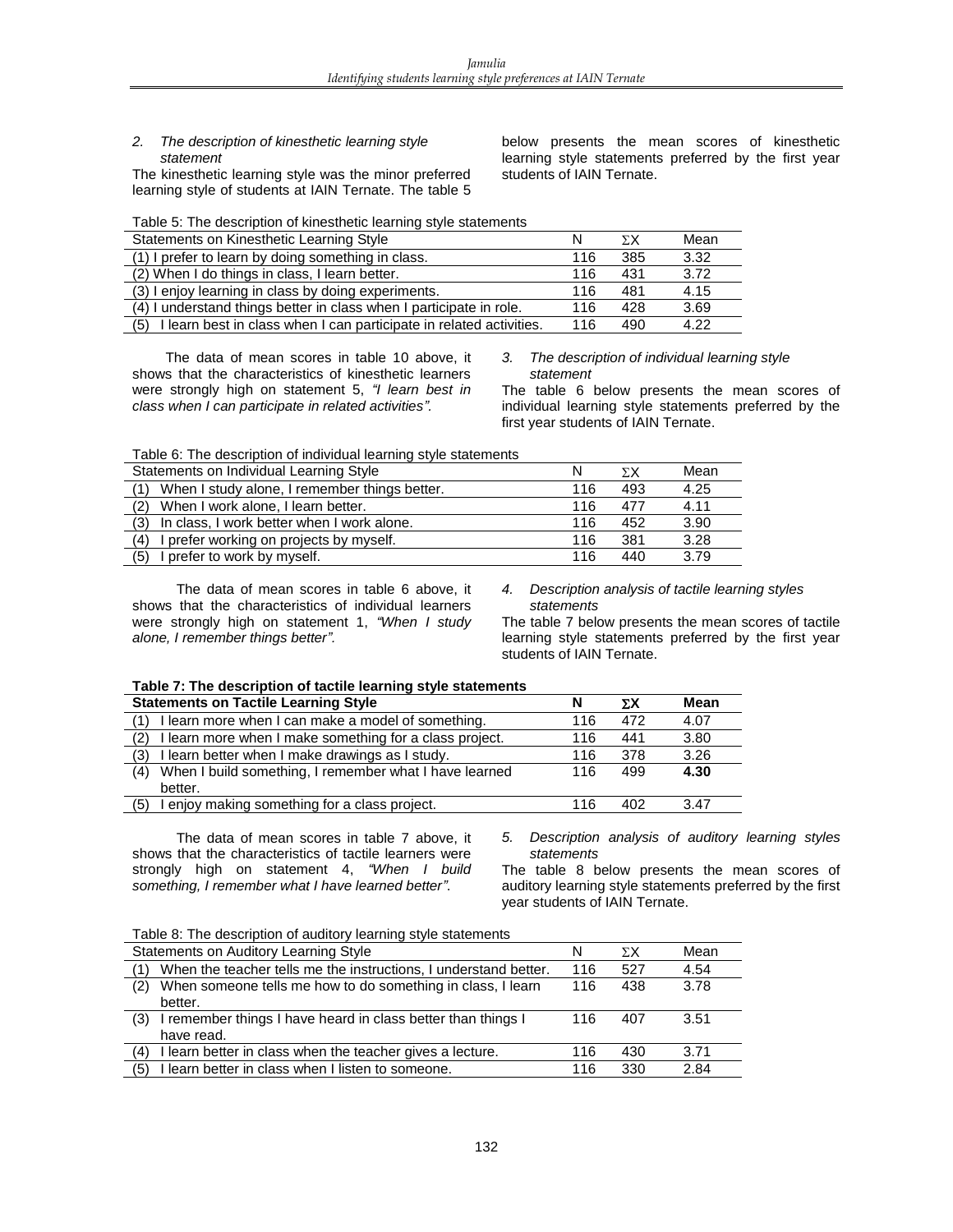#### *2. The description of kinesthetic learning style statement*

The kinesthetic learning style was the minor preferred learning style of students at IAIN Ternate. The table 5 below presents the mean scores of kinesthetic learning style statements preferred by the first year students of IAIN Ternate.

Table 5: The description of kinesthetic learning style statements

| Statements on Kinesthetic Learning Style                                   | N   | ΣΧ  | Mean |
|----------------------------------------------------------------------------|-----|-----|------|
| (1) I prefer to learn by doing something in class.                         | 116 | 385 | 3.32 |
| (2) When I do things in class, I learn better.                             | 116 | 431 | 3.72 |
| (3) I enjoy learning in class by doing experiments.                        | 116 | 481 | 4.15 |
| (4) I understand things better in class when I participate in role.        | 116 | 428 | 3.69 |
| I learn best in class when I can participate in related activities.<br>(5) | 116 | 490 | 4.22 |

The data of mean scores in table 10 above, it shows that the characteristics of kinesthetic learners were strongly high on statement 5, *"I learn best in class when I can participate in related activities".* 

*3. The description of individual learning style statement*

The table 6 below presents the mean scores of individual learning style statements preferred by the first year students of IAIN Ternate.

Table 6: The description of individual learning style statements

| Statements on Individual Learning Style           | N   | ΣΧ  | Mean |
|---------------------------------------------------|-----|-----|------|
| When I study alone, I remember things better.     | 116 | 493 | 4.25 |
| When I work alone, I learn better.<br>(2)         | 116 | 477 | 4.11 |
| (3)<br>In class, I work better when I work alone. | 116 | 452 | 3.90 |
| I prefer working on projects by myself.<br>(4)    | 116 | 381 | 3.28 |
| (5)<br>I prefer to work by myself.                | 116 | 440 | 3.79 |

The data of mean scores in table 6 above, it shows that the characteristics of individual learners were strongly high on statement 1, *"When I study alone, I remember things better".*

*4. Description analysis of tactile learning styles statements*

The table 7 below presents the mean scores of tactile learning style statements preferred by the first year students of IAIN Ternate.

|                                      | Table 7: The description of tactile learning style statements |
|--------------------------------------|---------------------------------------------------------------|
| Clotamente en Testile Leopping Chile |                                                               |

| <b>Statements on Tactile Learning Style</b>                   |     | ΣΧ  | <b>Mean</b> |
|---------------------------------------------------------------|-----|-----|-------------|
| I learn more when I can make a model of something.            | 116 | 472 | 4.07        |
| I learn more when I make something for a class project.       | 116 | 441 | 3.80        |
| I learn better when I make drawings as I study.<br>(3)        | 116 | 378 | 3.26        |
| When I build something, I remember what I have learned<br>(4) | 116 | 499 | 4.30        |
| better.                                                       |     |     |             |
| I enjoy making something for a class project.<br>(5)          | 116 | 402 | 3.47        |

The data of mean scores in table 7 above, it shows that the characteristics of tactile learners were strongly high on statement 4, *"When I build something, I remember what I have learned better"*.

*5. Description analysis of auditory learning styles statements*

The table 8 below presents the mean scores of auditory learning style statements preferred by the first year students of IAIN Ternate.

Table 8: The description of auditory learning style statements

| Statements on Auditory Learning Style                               | N   | $\Sigma X$ | Mean |
|---------------------------------------------------------------------|-----|------------|------|
| When the teacher tells me the instructions, I understand better.    | 116 | 527        | 4.54 |
| When someone tells me how to do something in class, I learn<br>(2)  | 116 | 438        | 3.78 |
| better.                                                             |     |            |      |
| I remember things I have heard in class better than things I<br>(3) | 116 | 407        | 3.51 |
| have read.                                                          |     |            |      |
| I learn better in class when the teacher gives a lecture.<br>(4)    | 116 | 430        | 3.71 |
| I learn better in class when I listen to someone.<br>(5)            | 116 | 330        | 2.84 |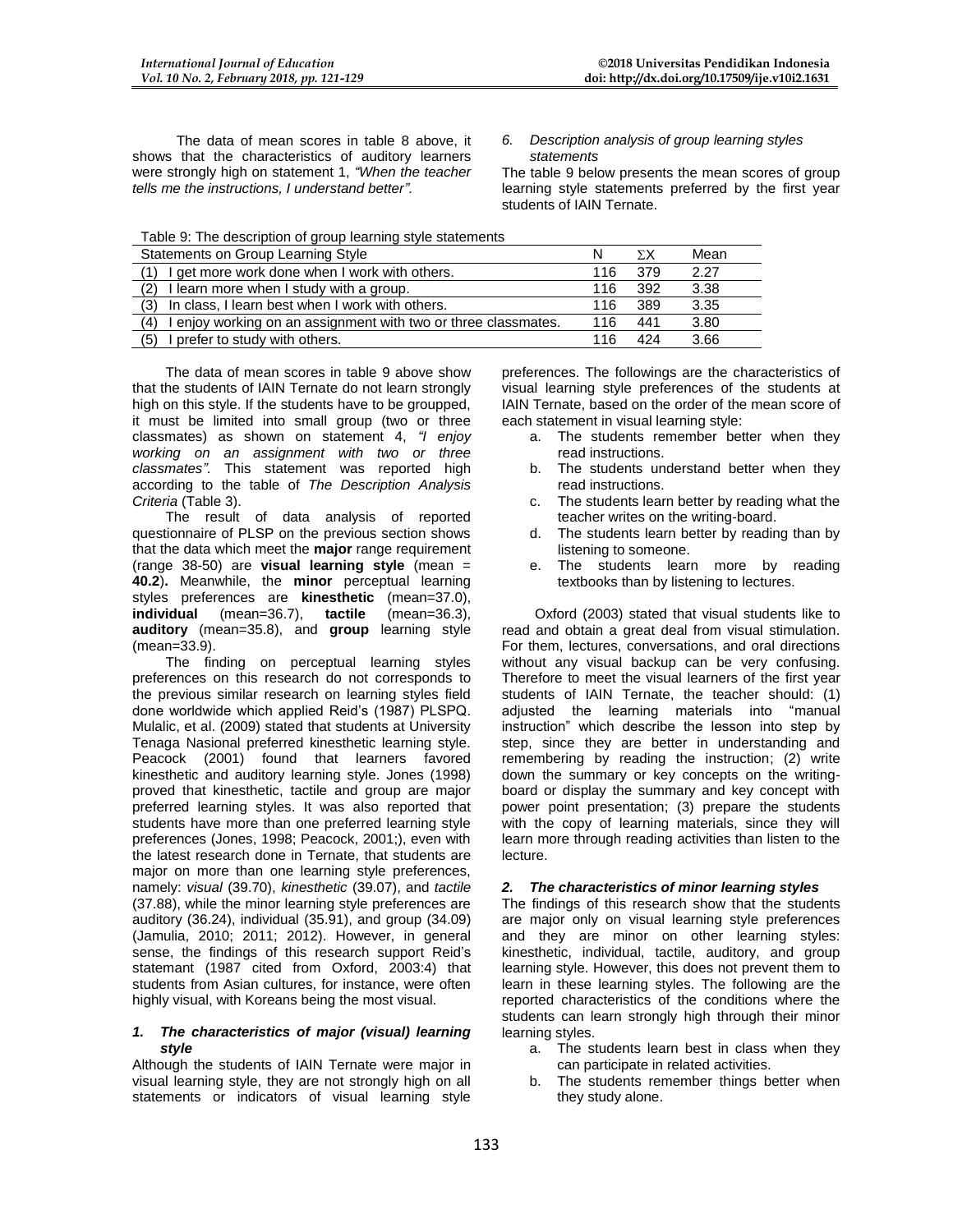The data of mean scores in table 8 above, it shows that the characteristics of auditory learners were strongly high on statement 1, *"When the teacher tells me the instructions, I understand better".*

*6. Description analysis of group learning styles statements*

The table 9 below presents the mean scores of group learning style statements preferred by the first year students of IAIN Ternate.

Table 9: The description of group learning style statements

| Statements on Group Learning Style                                    |     | ΣΧ  | Mean |
|-----------------------------------------------------------------------|-----|-----|------|
| I get more work done when I work with others.                         | 116 | 379 | 2.27 |
| (2)<br>I learn more when I study with a group.                        | 116 | 392 | 3.38 |
| In class, I learn best when I work with others.<br>(3)                | 116 | 389 | 3.35 |
| I enjoy working on an assignment with two or three classmates.<br>(4) | 116 | 441 | 3.80 |
| I prefer to study with others.<br>(5)                                 | 116 | 424 | 3.66 |

The data of mean scores in table 9 above show that the students of IAIN Ternate do not learn strongly high on this style. If the students have to be groupped, it must be limited into small group (two or three classmates) as shown on statement 4, *"I enjoy working on an assignment with two or three classmates".* This statement was reported high according to the table of *The Description Analysis Criteria* (Table 3).

The result of data analysis of reported questionnaire of PLSP on the previous section shows that the data which meet the **major** range requirement (range 38-50) are **visual learning style** (mean = **40.2**)**.** Meanwhile, the **minor** perceptual learning styles preferences are **kinesthetic** (mean=37.0), **individual** (mean=36.7), **tactile** (mean=36.3), **auditory** (mean=35.8), and **group** learning style (mean=33.9).

The finding on perceptual learning styles preferences on this research do not corresponds to the previous similar research on learning styles field done worldwide which applied Reid's (1987) PLSPQ. Mulalic, et al. (2009) stated that students at University Tenaga Nasional preferred kinesthetic learning style. Peacock (2001) found that learners favored kinesthetic and auditory learning style. Jones (1998) proved that kinesthetic, tactile and group are major preferred learning styles. It was also reported that students have more than one preferred learning style preferences (Jones, 1998; Peacock, 2001;), even with the latest research done in Ternate, that students are major on more than one learning style preferences, namely: *visual* (39.70), *kinesthetic* (39.07), and *tactile* (37.88), while the minor learning style preferences are auditory (36.24), individual (35.91), and group (34.09) (Jamulia, 2010; 2011; 2012). However, in general sense, the findings of this research support Reid's statemant (1987 cited from Oxford, 2003:4) that students from Asian cultures, for instance, were often highly visual, with Koreans being the most visual.

#### *1. The characteristics of major (visual) learning style*

Although the students of IAIN Ternate were major in visual learning style, they are not strongly high on all statements or indicators of visual learning style

preferences. The followings are the characteristics of visual learning style preferences of the students at IAIN Ternate, based on the order of the mean score of each statement in visual learning style:

- a. The students remember better when they read instructions.
- b. The students understand better when they read instructions.
- c. The students learn better by reading what the teacher writes on the writing-board.
- d. The students learn better by reading than by listening to someone.
- e. The students learn more by reading textbooks than by listening to lectures.

Oxford (2003) stated that visual students like to read and obtain a great deal from visual stimulation. For them, lectures, conversations, and oral directions without any visual backup can be very confusing. Therefore to meet the visual learners of the first year students of IAIN Ternate, the teacher should: (1) adjusted the learning materials into "manual instruction" which describe the lesson into step by step, since they are better in understanding and remembering by reading the instruction; (2) write down the summary or key concepts on the writingboard or display the summary and key concept with power point presentation; (3) prepare the students with the copy of learning materials, since they will learn more through reading activities than listen to the lecture.

### *2. The characteristics of minor learning styles*

The findings of this research show that the students are major only on visual learning style preferences and they are minor on other learning styles: kinesthetic, individual, tactile, auditory, and group learning style. However, this does not prevent them to learn in these learning styles. The following are the reported characteristics of the conditions where the students can learn strongly high through their minor learning styles.

- a. The students learn best in class when they can participate in related activities.
- b. The students remember things better when they study alone.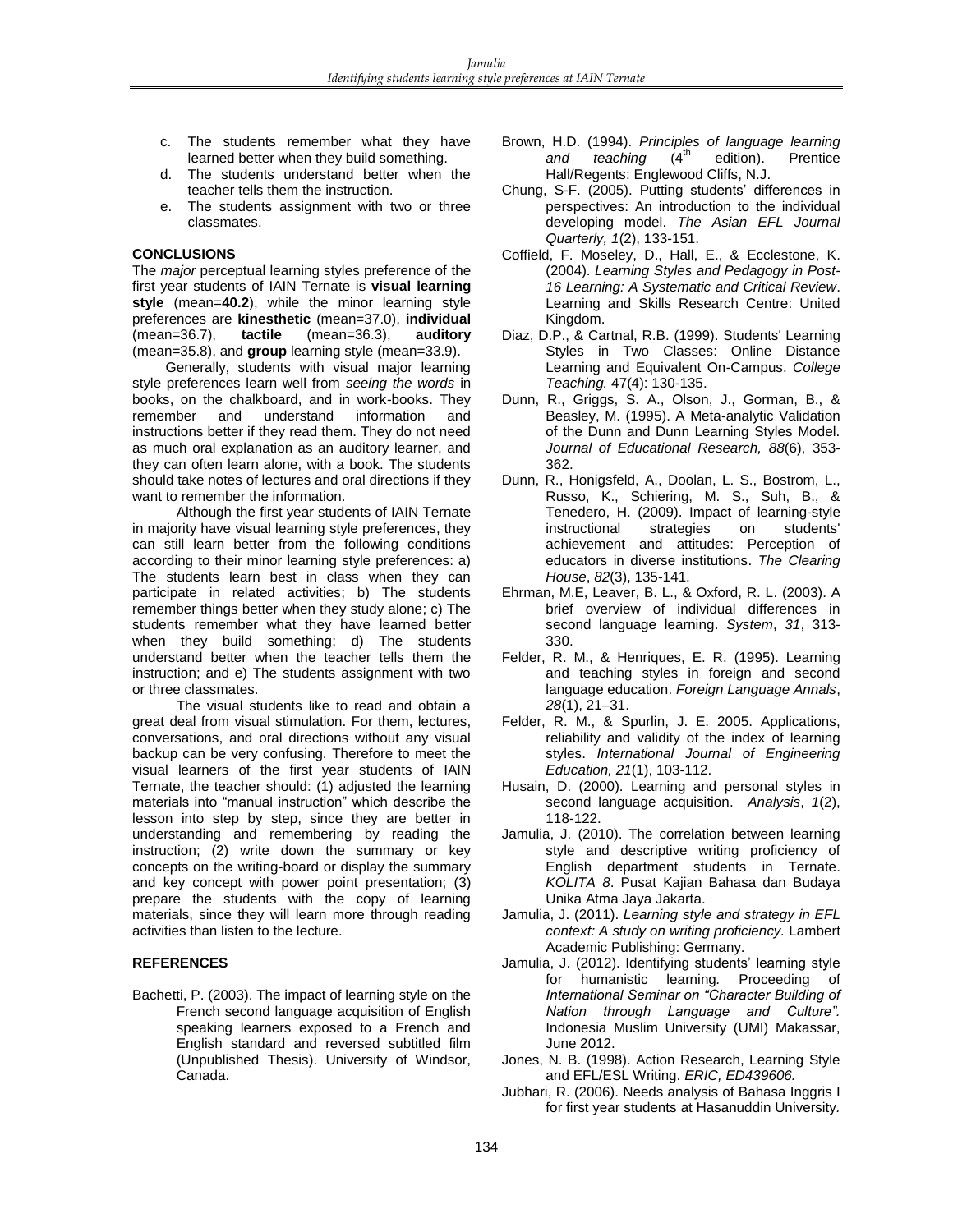- c. The students remember what they have learned better when they build something.
- d. The students understand better when the teacher tells them the instruction.
- e. The students assignment with two or three classmates.

### **CONCLUSIONS**

The *major* perceptual learning styles preference of the first year students of IAIN Ternate is **visual learning style** (mean=**40.2**), while the minor learning style preferences are **kinesthetic** (mean=37.0), **individual** (mean=36.7), **tactile** (mean=36.3), **auditory** (mean=35.8), and **group** learning style (mean=33.9).

Generally, students with visual major learning style preferences learn well from *seeing the words* in books, on the chalkboard, and in work-books. They remember and understand information and instructions better if they read them. They do not need as much oral explanation as an auditory learner, and they can often learn alone, with a book. The students should take notes of lectures and oral directions if they want to remember the information.

Although the first year students of IAIN Ternate in majority have visual learning style preferences, they can still learn better from the following conditions according to their minor learning style preferences: a) The students learn best in class when they can participate in related activities; b) The students remember things better when they study alone; c) The students remember what they have learned better when they build something; d) The students understand better when the teacher tells them the instruction; and e) The students assignment with two or three classmates.

The visual students like to read and obtain a great deal from visual stimulation. For them, lectures, conversations, and oral directions without any visual backup can be very confusing. Therefore to meet the visual learners of the first year students of IAIN Ternate, the teacher should: (1) adjusted the learning materials into "manual instruction" which describe the lesson into step by step, since they are better in understanding and remembering by reading the instruction; (2) write down the summary or key concepts on the writing-board or display the summary and key concept with power point presentation; (3) prepare the students with the copy of learning materials, since they will learn more through reading activities than listen to the lecture.

### **REFERENCES**

Bachetti, P. (2003). The impact of learning style on the French second language acquisition of English speaking learners exposed to a French and English standard and reversed subtitled film (Unpublished Thesis). University of Windsor, Canada.

- Brown, H.D. (1994). *Principles of language learning*  and teaching edition). Prentice Hall/Regents: Englewood Cliffs, N.J.
- Chung, S-F. (2005). Putting students' differences in perspectives: An introduction to the individual developing model. *The Asian EFL Journal Quarterly, 1*(2), 133-151.
- Coffield, F. Moseley, D., Hall, E., & Ecclestone, K. (2004). *Learning Styles and Pedagogy in Post-16 Learning: A Systematic and Critical Review*. Learning and Skills Research Centre: United Kingdom.
- Diaz, D.P., & Cartnal, R.B. (1999). Students' Learning Styles in Two Classes: Online Distance Learning and Equivalent On-Campus. *College Teaching.* 47(4): 130-135.
- Dunn, R., Griggs, S. A., Olson, J., Gorman, B., & Beasley, M. (1995). A Meta-analytic Validation of the Dunn and Dunn Learning Styles Model. *Journal of Educational Research, 88*(6), 353- 362.
- Dunn, R., Honigsfeld, A., Doolan, L. S., Bostrom, L., Russo, K., Schiering, M. S., Suh, B., & Tenedero, H. (2009). Impact of learning-style instructional strategies on students' achievement and attitudes: Perception of educators in diverse institutions. *The Clearing House*, *82*(3), 135-141.
- Ehrman, M.E, Leaver, B. L., & Oxford, R. L. (2003). A brief overview of individual differences in second language learning. *System*, *31*, 313- 330.
- Felder, R. M., & Henriques, E. R. (1995). Learning and teaching styles in foreign and second language education. *Foreign Language Annals*, *28*(1), 21–31.
- Felder, R. M., & Spurlin, J. E. 2005. Applications, reliability and validity of the index of learning styles. *International Journal of Engineering Education, 21*(1), 103-112.
- Husain, D. (2000). Learning and personal styles in second language acquisition. *Analysis*, *1*(2), 118-122.
- Jamulia, J. (2010). The correlation between learning style and descriptive writing proficiency of English department students in Ternate. *KOLITA 8*. Pusat Kajian Bahasa dan Budaya Unika Atma Jaya Jakarta.
- Jamulia, J. (2011). *Learning style and strategy in EFL context: A study on writing proficiency.* Lambert Academic Publishing: Germany.
- Jamulia, J. (2012). Identifying students' learning style for humanistic learning*.* Proceeding of *International Seminar on "Character Building of Nation through Language and Culture".* Indonesia Muslim University (UMI) Makassar, June 2012.
- Jones, N. B. (1998). Action Research, Learning Style and EFL/ESL Writing. *ERIC, ED439606.*
- Jubhari, R. (2006). Needs analysis of Bahasa Inggris I for first year students at Hasanuddin University*.*